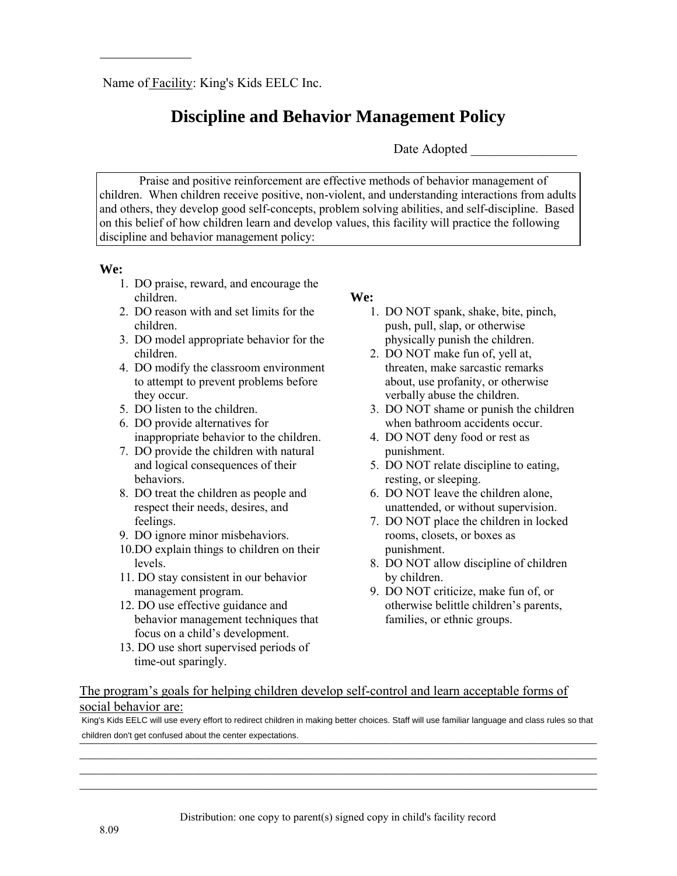# **Discipline and Behavior Management Policy**

Date Adopted  $\Box$ 

Praise and positive reinforcement are effective methods of behavior management of children. When children receive positive, non-violent, and understanding interactions from adults and others, they develop good self-concepts, problem solving abilities, and self-discipline. Based on this belief of how children learn and develop values, this facility will practice the following discipline and behavior management policy:

### **We:**

- 1. DO praise, reward, and encourage the children.
- 2. DO reason with and set limits for the children.
- 3. DO model appropriate behavior for the children.
- 4. DO modify the classroom environment to attempt to prevent problems before they occur.
- 5. DO listen to the children.
- 6. DO provide alternatives for inappropriate behavior to the children.
- 7. DO provide the children with natural and logical consequences of their behaviors.
- 8. DO treat the children as people and respect their needs, desires, and feelings.
- 9. DO ignore minor misbehaviors.
- 10.DO explain things to children on their levels.
- 11. DO stay consistent in our behavior management program.
- 12. DO use effective guidance and behavior management techniques that focus on a child's development.
- 13. DO use short supervised periods of time-out sparingly.

## **We:**

- 1. DO NOT spank, shake, bite, pinch, push, pull, slap, or otherwise physically punish the children.
- 2. DO NOT make fun of, yell at, threaten, make sarcastic remarks about, use profanity, or otherwise verbally abuse the children.
- 3. DO NOT shame or punish the children when bathroom accidents occur.
- 4. DO NOT deny food or rest as punishment.
- 5. DO NOT relate discipline to eating, resting, or sleeping.
- 6. DO NOT leave the children alone, unattended, or without supervision.
- 7. DO NOT place the children in locked rooms, closets, or boxes as punishment.
- 8. DO NOT allow discipline of children by children.
- 9. DO NOT criticize, make fun of, or otherwise belittle children's parents, families, or ethnic groups.

## The program's goals for helping children develop self-control and learn acceptable forms of social behavior are:

children don't get confused about the center expectations. King's Kids EELC will use every effort to redirect children in making better choices. Staff will use familiar language and class rules so that

\_\_\_\_\_\_\_\_\_\_\_\_\_\_\_\_\_\_\_\_\_\_\_\_\_\_\_\_\_\_\_\_\_\_\_\_\_\_\_\_\_\_\_\_\_\_\_\_\_\_\_\_\_\_\_\_\_\_\_\_\_\_\_\_\_\_\_\_\_\_\_\_\_\_\_\_\_\_ \_\_\_\_\_\_\_\_\_\_\_\_\_\_\_\_\_\_\_\_\_\_\_\_\_\_\_\_\_\_\_\_\_\_\_\_\_\_\_\_\_\_\_\_\_\_\_\_\_\_\_\_\_\_\_\_\_\_\_\_\_\_\_\_\_\_\_\_\_\_\_\_\_\_\_\_\_\_ \_\_\_\_\_\_\_\_\_\_\_\_\_\_\_\_\_\_\_\_\_\_\_\_\_\_\_\_\_\_\_\_\_\_\_\_\_\_\_\_\_\_\_\_\_\_\_\_\_\_\_\_\_\_\_\_\_\_\_\_\_\_\_\_\_\_\_\_\_\_\_\_\_\_\_\_\_\_